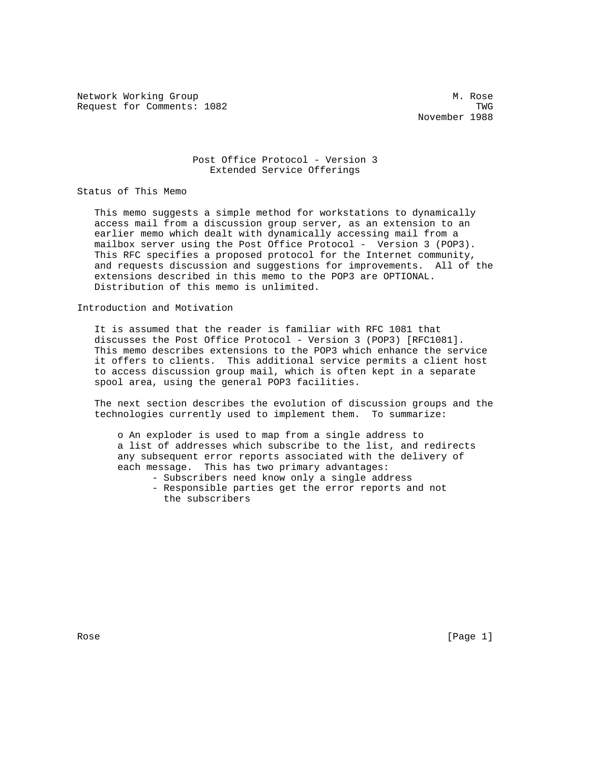Network Working Group Methods and Methods Methods Methods Methods Methods Methods Methods Methods Methods Methods Methods Methods Methods Methods Methods Methods Methods Methods Methods Methods Methods Methods Methods Meth Request for Comments: 1082 TWG

November 1988

## Post Office Protocol - Version 3 Extended Service Offerings

Status of This Memo

 This memo suggests a simple method for workstations to dynamically access mail from a discussion group server, as an extension to an earlier memo which dealt with dynamically accessing mail from a mailbox server using the Post Office Protocol - Version 3 (POP3). This RFC specifies a proposed protocol for the Internet community, and requests discussion and suggestions for improvements. All of the extensions described in this memo to the POP3 are OPTIONAL. Distribution of this memo is unlimited.

Introduction and Motivation

 It is assumed that the reader is familiar with RFC 1081 that discusses the Post Office Protocol - Version 3 (POP3) [RFC1081]. This memo describes extensions to the POP3 which enhance the service it offers to clients. This additional service permits a client host to access discussion group mail, which is often kept in a separate spool area, using the general POP3 facilities.

 The next section describes the evolution of discussion groups and the technologies currently used to implement them. To summarize:

 o An exploder is used to map from a single address to a list of addresses which subscribe to the list, and redirects any subsequent error reports associated with the delivery of each message. This has two primary advantages:

- Subscribers need know only a single address
- Responsible parties get the error reports and not the subscribers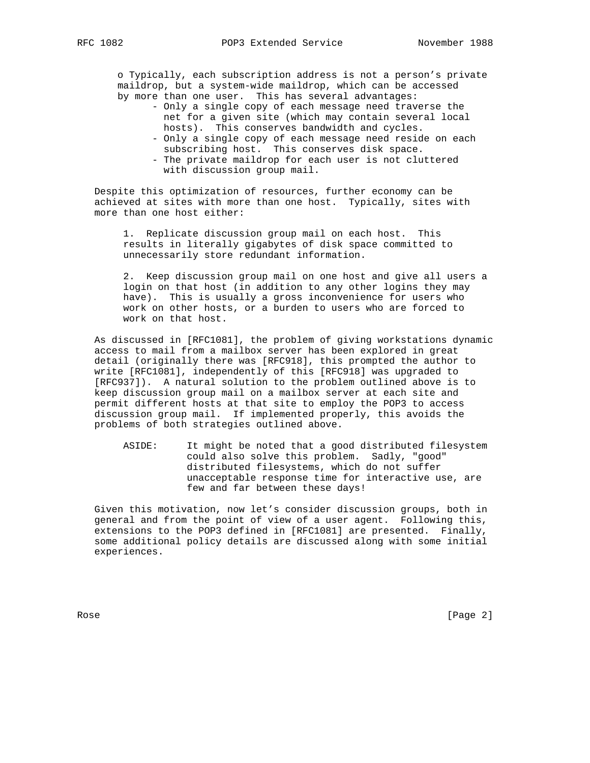o Typically, each subscription address is not a person's private maildrop, but a system-wide maildrop, which can be accessed by more than one user. This has several advantages:

- Only a single copy of each message need traverse the net for a given site (which may contain several local hosts). This conserves bandwidth and cycles.
- Only a single copy of each message need reside on each subscribing host. This conserves disk space. - The private maildrop for each user is not cluttered
- with discussion group mail.

 Despite this optimization of resources, further economy can be achieved at sites with more than one host. Typically, sites with more than one host either:

 1. Replicate discussion group mail on each host. This results in literally gigabytes of disk space committed to unnecessarily store redundant information.

 2. Keep discussion group mail on one host and give all users a login on that host (in addition to any other logins they may have). This is usually a gross inconvenience for users who work on other hosts, or a burden to users who are forced to work on that host.

 As discussed in [RFC1081], the problem of giving workstations dynamic access to mail from a mailbox server has been explored in great detail (originally there was [RFC918], this prompted the author to write [RFC1081], independently of this [RFC918] was upgraded to [RFC937]). A natural solution to the problem outlined above is to keep discussion group mail on a mailbox server at each site and permit different hosts at that site to employ the POP3 to access discussion group mail. If implemented properly, this avoids the problems of both strategies outlined above.

 ASIDE: It might be noted that a good distributed filesystem could also solve this problem. Sadly, "good" distributed filesystems, which do not suffer unacceptable response time for interactive use, are few and far between these days!

 Given this motivation, now let's consider discussion groups, both in general and from the point of view of a user agent. Following this, extensions to the POP3 defined in [RFC1081] are presented. Finally, some additional policy details are discussed along with some initial experiences.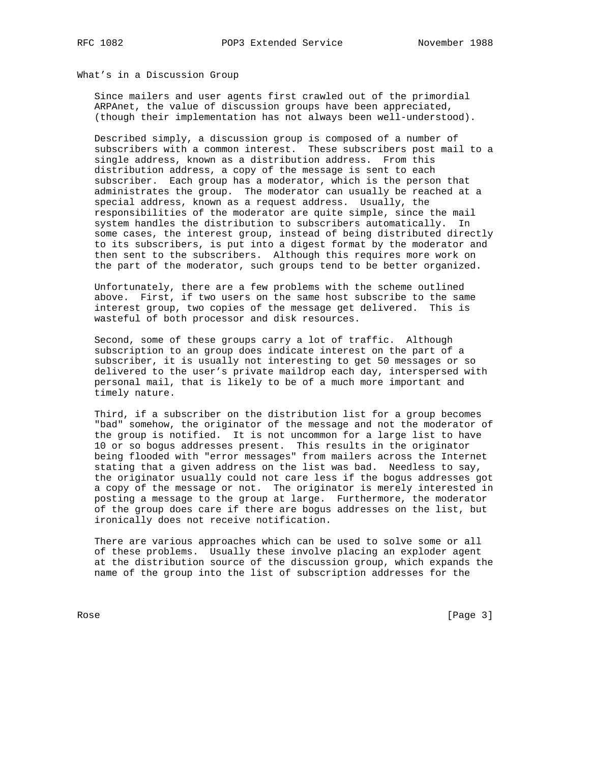## What's in a Discussion Group

 Since mailers and user agents first crawled out of the primordial ARPAnet, the value of discussion groups have been appreciated, (though their implementation has not always been well-understood).

 Described simply, a discussion group is composed of a number of subscribers with a common interest. These subscribers post mail to a single address, known as a distribution address. From this distribution address, a copy of the message is sent to each subscriber. Each group has a moderator, which is the person that administrates the group. The moderator can usually be reached at a special address, known as a request address. Usually, the responsibilities of the moderator are quite simple, since the mail system handles the distribution to subscribers automatically. In some cases, the interest group, instead of being distributed directly to its subscribers, is put into a digest format by the moderator and then sent to the subscribers. Although this requires more work on the part of the moderator, such groups tend to be better organized.

 Unfortunately, there are a few problems with the scheme outlined above. First, if two users on the same host subscribe to the same interest group, two copies of the message get delivered. This is wasteful of both processor and disk resources.

 Second, some of these groups carry a lot of traffic. Although subscription to an group does indicate interest on the part of a subscriber, it is usually not interesting to get 50 messages or so delivered to the user's private maildrop each day, interspersed with personal mail, that is likely to be of a much more important and timely nature.

 Third, if a subscriber on the distribution list for a group becomes "bad" somehow, the originator of the message and not the moderator of the group is notified. It is not uncommon for a large list to have 10 or so bogus addresses present. This results in the originator being flooded with "error messages" from mailers across the Internet stating that a given address on the list was bad. Needless to say, the originator usually could not care less if the bogus addresses got a copy of the message or not. The originator is merely interested in posting a message to the group at large. Furthermore, the moderator of the group does care if there are bogus addresses on the list, but ironically does not receive notification.

 There are various approaches which can be used to solve some or all of these problems. Usually these involve placing an exploder agent at the distribution source of the discussion group, which expands the name of the group into the list of subscription addresses for the

Rose [Page 3]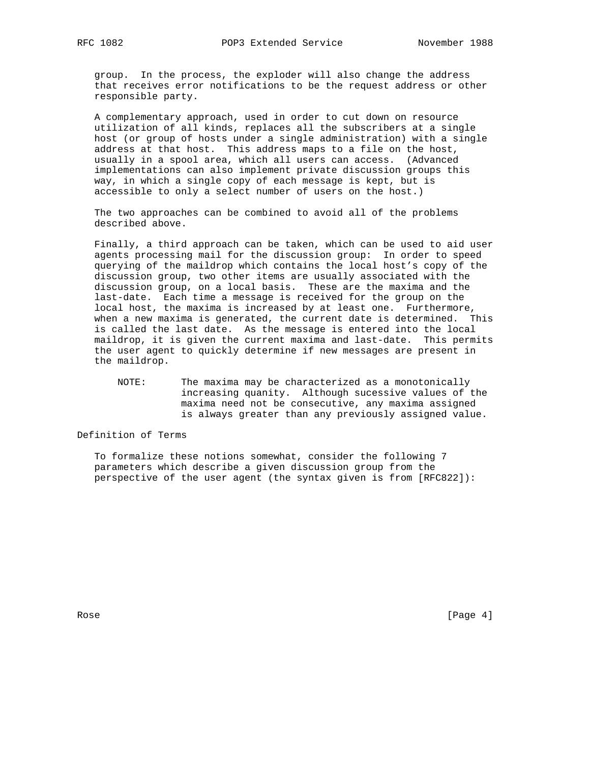group. In the process, the exploder will also change the address that receives error notifications to be the request address or other responsible party.

 A complementary approach, used in order to cut down on resource utilization of all kinds, replaces all the subscribers at a single host (or group of hosts under a single administration) with a single address at that host. This address maps to a file on the host, usually in a spool area, which all users can access. (Advanced implementations can also implement private discussion groups this way, in which a single copy of each message is kept, but is accessible to only a select number of users on the host.)

 The two approaches can be combined to avoid all of the problems described above.

 Finally, a third approach can be taken, which can be used to aid user agents processing mail for the discussion group: In order to speed querying of the maildrop which contains the local host's copy of the discussion group, two other items are usually associated with the discussion group, on a local basis. These are the maxima and the last-date. Each time a message is received for the group on the local host, the maxima is increased by at least one. Furthermore, when a new maxima is generated, the current date is determined. This is called the last date. As the message is entered into the local maildrop, it is given the current maxima and last-date. This permits the user agent to quickly determine if new messages are present in the maildrop.

 NOTE: The maxima may be characterized as a monotonically increasing quanity. Although sucessive values of the maxima need not be consecutive, any maxima assigned is always greater than any previously assigned value.

Definition of Terms

 To formalize these notions somewhat, consider the following 7 parameters which describe a given discussion group from the perspective of the user agent (the syntax given is from [RFC822]):

Rose [Page 4]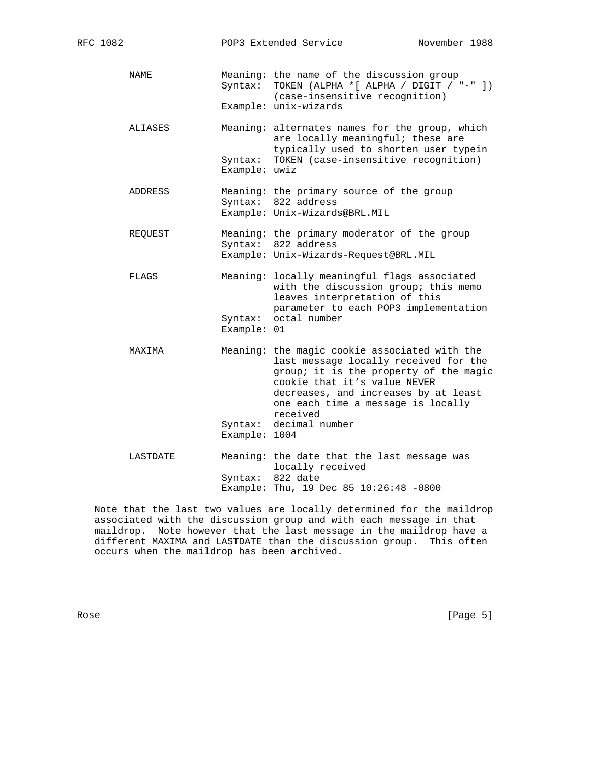NAME Meaning: the name of the discussion group Syntax: TOKEN (ALPHA \*[ ALPHA / DIGIT / "-" ]) (case-insensitive recognition) Example: unix-wizards ALIASES Meaning: alternates names for the group, which are locally meaningful; these are typically used to shorten user typein Syntax: TOKEN (case-insensitive recognition) Example: uwiz ADDRESS Meaning: the primary source of the group Syntax: 822 address Example: Unix-Wizards@BRL.MIL REQUEST Meaning: the primary moderator of the group Syntax: 822 address Example: Unix-Wizards-Request@BRL.MIL FLAGS Meaning: locally meaningful flags associated with the discussion group; this memo leaves interpretation of this parameter to each POP3 implementation Syntax: octal number Example: 01 MAXIMA Meaning: the magic cookie associated with the last message locally received for the group; it is the property of the magic cookie that it's value NEVER decreases, and increases by at least one each time a message is locally received Syntax: decimal number Example: 1004 LASTDATE Meaning: the date that the last message was locally received Syntax: 822 date

Example: Thu, 19 Dec 85 10:26:48 -0800

 Note that the last two values are locally determined for the maildrop associated with the discussion group and with each message in that maildrop. Note however that the last message in the maildrop have a different MAXIMA and LASTDATE than the discussion group. This often occurs when the maildrop has been archived.

Rose [Page 5]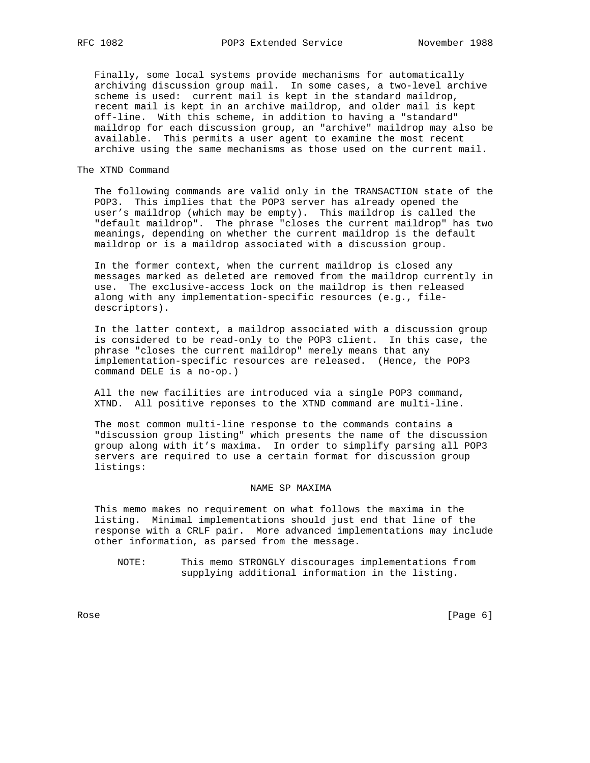Finally, some local systems provide mechanisms for automatically archiving discussion group mail. In some cases, a two-level archive scheme is used: current mail is kept in the standard maildrop, recent mail is kept in an archive maildrop, and older mail is kept off-line. With this scheme, in addition to having a "standard" maildrop for each discussion group, an "archive" maildrop may also be available. This permits a user agent to examine the most recent archive using the same mechanisms as those used on the current mail.

### The XTND Command

 The following commands are valid only in the TRANSACTION state of the POP3. This implies that the POP3 server has already opened the user's maildrop (which may be empty). This maildrop is called the "default maildrop". The phrase "closes the current maildrop" has two meanings, depending on whether the current maildrop is the default maildrop or is a maildrop associated with a discussion group.

 In the former context, when the current maildrop is closed any messages marked as deleted are removed from the maildrop currently in use. The exclusive-access lock on the maildrop is then released along with any implementation-specific resources (e.g., file descriptors).

 In the latter context, a maildrop associated with a discussion group is considered to be read-only to the POP3 client. In this case, the phrase "closes the current maildrop" merely means that any implementation-specific resources are released. (Hence, the POP3 command DELE is a no-op.)

 All the new facilities are introduced via a single POP3 command, XTND. All positive reponses to the XTND command are multi-line.

 The most common multi-line response to the commands contains a "discussion group listing" which presents the name of the discussion group along with it's maxima. In order to simplify parsing all POP3 servers are required to use a certain format for discussion group listings:

### NAME SP MAXIMA

 This memo makes no requirement on what follows the maxima in the listing. Minimal implementations should just end that line of the response with a CRLF pair. More advanced implementations may include other information, as parsed from the message.

 NOTE: This memo STRONGLY discourages implementations from supplying additional information in the listing.

Rose [Page 6] [Page 6] [Page 6] [Page 6] [Page 6] [Page 6] [Page 6] [Page 6] [Page 6] [Page 6] [Page 6] [Page 6] [Page 6] [Page 6] [Page 6] [Page 6] [Page 6] [Page 6] [Page 6] [Page 6] [Page 6] [Page 6] [Page 6] [Page 6] [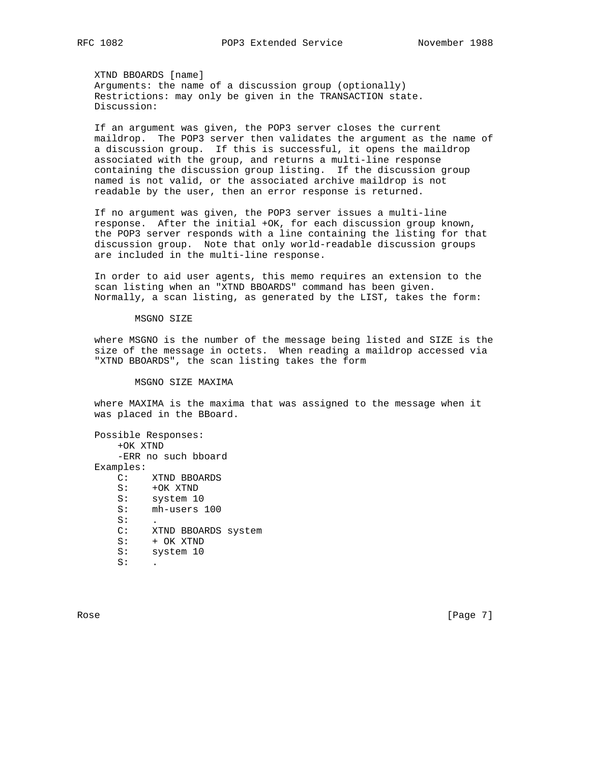XTND BBOARDS [name] Arguments: the name of a discussion group (optionally) Restrictions: may only be given in the TRANSACTION state. Discussion:

 If an argument was given, the POP3 server closes the current maildrop. The POP3 server then validates the argument as the name of a discussion group. If this is successful, it opens the maildrop associated with the group, and returns a multi-line response containing the discussion group listing. If the discussion group named is not valid, or the associated archive maildrop is not readable by the user, then an error response is returned.

 If no argument was given, the POP3 server issues a multi-line response. After the initial +OK, for each discussion group known, the POP3 server responds with a line containing the listing for that discussion group. Note that only world-readable discussion groups are included in the multi-line response.

 In order to aid user agents, this memo requires an extension to the scan listing when an "XTND BBOARDS" command has been given. Normally, a scan listing, as generated by the LIST, takes the form:

#### MSGNO SIZE

 where MSGNO is the number of the message being listed and SIZE is the size of the message in octets. When reading a maildrop accessed via "XTND BBOARDS", the scan listing takes the form

MSGNO SIZE MAXIMA

 where MAXIMA is the maxima that was assigned to the message when it was placed in the BBoard.

 Possible Responses: +OK XTND -ERR no such bboard Examples: C: XTND BBOARDS S: +OK XTND S: system 10 S: mh-users 100  $S:$  C: XTND BBOARDS system S: + OK XTND S: system 10  $S:$ 

Rose [Page 7] [Page 7] [Page 7] [Page 7] [Page 7] [Page 7] [Page 7] [Page 7] [Page 7] [Page 7] [Page 7] [Page 7] [Page 7] [Page 7] [Page 7] [Page 7] [Page 7] [Page 7] [Page 7] [Page 7] [Page 7] [Page 7] [Page 7] [Page 7] [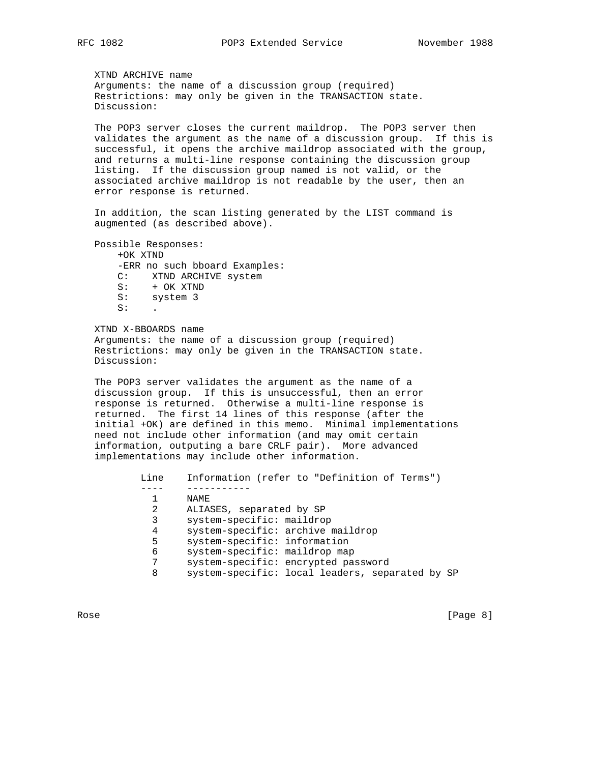XTND ARCHIVE name Arguments: the name of a discussion group (required) Restrictions: may only be given in the TRANSACTION state. Discussion:

 The POP3 server closes the current maildrop. The POP3 server then validates the argument as the name of a discussion group. If this is successful, it opens the archive maildrop associated with the group, and returns a multi-line response containing the discussion group listing. If the discussion group named is not valid, or the associated archive maildrop is not readable by the user, then an error response is returned.

 In addition, the scan listing generated by the LIST command is augmented (as described above).

 Possible Responses: +OK XTND -ERR no such bboard Examples: C: XTND ARCHIVE system S: + OK XTND S: system 3  $S:$ 

 XTND X-BBOARDS name Arguments: the name of a discussion group (required) Restrictions: may only be given in the TRANSACTION state. Discussion:

 The POP3 server validates the argument as the name of a discussion group. If this is unsuccessful, then an error response is returned. Otherwise a multi-line response is returned. The first 14 lines of this response (after the initial +OK) are defined in this memo. Minimal implementations need not include other information (and may omit certain information, outputing a bare CRLF pair). More advanced implementations may include other information.

 Line Information (refer to "Definition of Terms") ---- ----------- 1 NAME 2 ALIASES, separated by SP 3 system-specific: maildrop 4 system-specific: archive maildrop 5 system-specific: information 6 system-specific: maildrop map 7 system-specific: encrypted password 8 system-specific: local leaders, separated by SP

Rose [Page 8]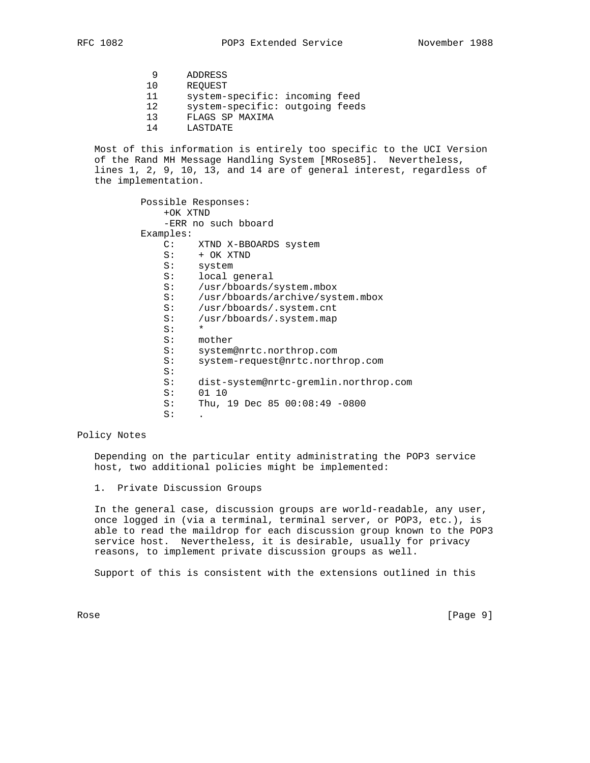- 9 ADDRESS
- 10 REQUEST
- 11 system-specific: incoming feed
- 12 system-specific: outgoing feeds
- 13 FLAGS SP MAXIMA
- 14 LASTDATE

 Most of this information is entirely too specific to the UCI Version of the Rand MH Message Handling System [MRose85]. Nevertheless, lines 1, 2, 9, 10, 13, and 14 are of general interest, regardless of the implementation.

> Possible Responses: +OK XTND -ERR no such bboard Examples: C: XTND X-BBOARDS system S: + OK XTND<br>S: system system S: local general S: /usr/bboards/system.mbox S: /usr/bboards/archive/system.mbox S: /usr/bboards/.system.cnt S: /usr/bboards/.system.map  $S:$  S: mother S: system@nrtc.northrop.com S: system-request@nrtc.northrop.com S: S: dist-system@nrtc-gremlin.northrop.com 01 10 S: Thu, 19 Dec 85 00:08:49 -0800  $S:$

# Policy Notes

 Depending on the particular entity administrating the POP3 service host, two additional policies might be implemented:

1. Private Discussion Groups

 In the general case, discussion groups are world-readable, any user, once logged in (via a terminal, terminal server, or POP3, etc.), is able to read the maildrop for each discussion group known to the POP3 service host. Nevertheless, it is desirable, usually for privacy reasons, to implement private discussion groups as well.

Support of this is consistent with the extensions outlined in this

Rose [Page 9]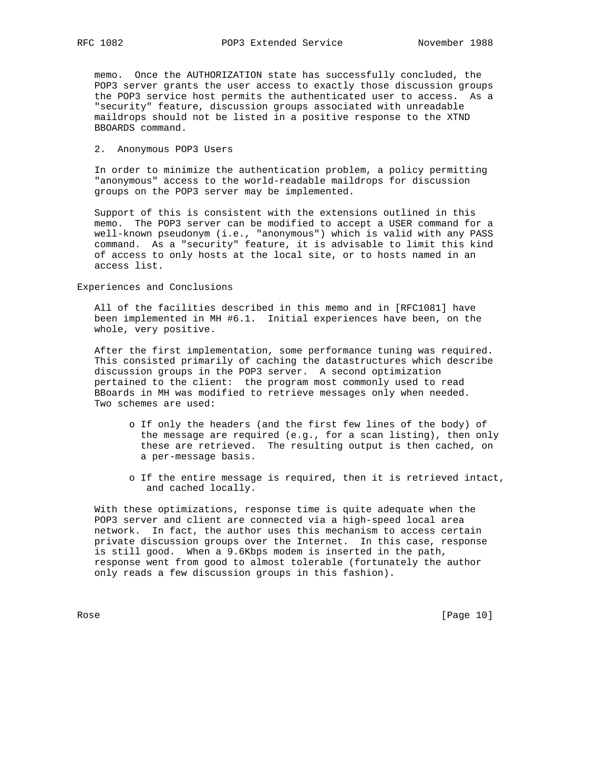memo. Once the AUTHORIZATION state has successfully concluded, the POP3 server grants the user access to exactly those discussion groups the POP3 service host permits the authenticated user to access. As a "security" feature, discussion groups associated with unreadable maildrops should not be listed in a positive response to the XTND BBOARDS command.

#### 2. Anonymous POP3 Users

 In order to minimize the authentication problem, a policy permitting "anonymous" access to the world-readable maildrops for discussion groups on the POP3 server may be implemented.

 Support of this is consistent with the extensions outlined in this memo. The POP3 server can be modified to accept a USER command for a well-known pseudonym (i.e., "anonymous") which is valid with any PASS command. As a "security" feature, it is advisable to limit this kind of access to only hosts at the local site, or to hosts named in an access list.

Experiences and Conclusions

 All of the facilities described in this memo and in [RFC1081] have been implemented in MH #6.1. Initial experiences have been, on the whole, very positive.

 After the first implementation, some performance tuning was required. This consisted primarily of caching the datastructures which describe discussion groups in the POP3 server. A second optimization pertained to the client: the program most commonly used to read BBoards in MH was modified to retrieve messages only when needed. Two schemes are used:

- o If only the headers (and the first few lines of the body) of the message are required (e.g., for a scan listing), then only these are retrieved. The resulting output is then cached, on a per-message basis.
- o If the entire message is required, then it is retrieved intact, and cached locally.

 With these optimizations, response time is quite adequate when the POP3 server and client are connected via a high-speed local area network. In fact, the author uses this mechanism to access certain private discussion groups over the Internet. In this case, response is still good. When a 9.6Kbps modem is inserted in the path, response went from good to almost tolerable (fortunately the author only reads a few discussion groups in this fashion).

Rose [Page 10]